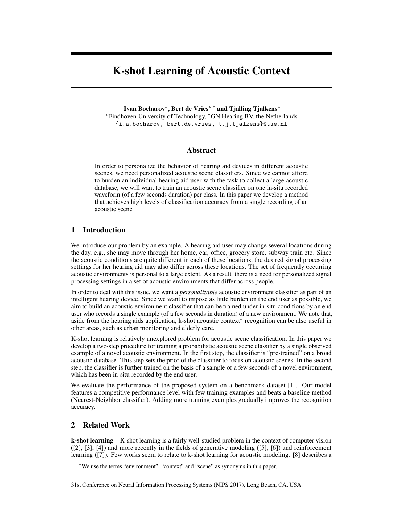# K-shot Learning of Acoustic Context

Ivan Bocharov<sup>∗</sup> , Bert de Vries∗,† and Tjalling Tjalkens<sup>∗</sup> <sup>∗</sup>Eindhoven University of Technology, †GN Hearing BV, the Netherlands {i.a.bocharov, bert.de.vries, t.j.tjalkens}@tue.nl

# Abstract

In order to personalize the behavior of hearing aid devices in different acoustic scenes, we need personalized acoustic scene classifiers. Since we cannot afford to burden an individual hearing aid user with the task to collect a large acoustic database, we will want to train an acoustic scene classifier on one in-situ recorded waveform (of a few seconds duration) per class. In this paper we develop a method that achieves high levels of classification accuracy from a single recording of an acoustic scene.

# 1 Introduction

We introduce our problem by an example. A hearing aid user may change several locations during the day, e.g., she may move through her home, car, office, grocery store, subway train etc. Since the acoustic conditions are quite different in each of these locations, the desired signal processing settings for her hearing aid may also differ across these locations. The set of frequently occurring acoustic environments is personal to a large extent. As a result, there is a need for personalized signal processing settings in a set of acoustic environments that differ across people.

In order to deal with this issue, we want a *personalizable* acoustic environment classifier as part of an intelligent hearing device. Since we want to impose as little burden on the end user as possible, we aim to build an acoustic environment classifier that can be trained under in-situ conditions by an end user who records a single example (of a few seconds in duration) of a new environment. We note that, aside from the hearing aids application, k-shot acoustic context[∗](#page-0-0) recognition can be also useful in other areas, such as urban monitoring and elderly care.

K-shot learning is relatively unexplored problem for acoustic scene classification. In this paper we develop a two-step procedure for training a probabilistic acoustic scene classifier by a single observed example of a novel acoustic environment. In the first step, the classifier is "pre-trained" on a broad acoustic database. This step sets the prior of the classifier to focus on acoustic scenes. In the second step, the classifier is further trained on the basis of a sample of a few seconds of a novel environment, which has been in-situ recorded by the end user.

We evaluate the performance of the proposed system on a benchmark dataset [\[1\]](#page-4-0). Our model features a competitive performance level with few training examples and beats a baseline method (Nearest-Neighbor classifier). Adding more training examples gradually improves the recognition accuracy.

# 2 Related Work

k-shot learning K-shot learning is a fairly well-studied problem in the context of computer vision ([\[2\]](#page-4-1), [\[3\]](#page-4-2), [\[4\]](#page-4-3)) and more recently in the fields of generative modeling ([\[5\]](#page-4-4), [\[6\]](#page-4-5)) and reinforcement learning ([\[7\]](#page-4-6)). Few works seem to relate to k-shot learning for acoustic modeling. [\[8\]](#page-4-7) describes a

<span id="page-0-0"></span><sup>∗</sup>We use the terms "environment", "context" and "scene" as synonyms in this paper.

<sup>31</sup>st Conference on Neural Information Processing Systems (NIPS 2017), Long Beach, CA, USA.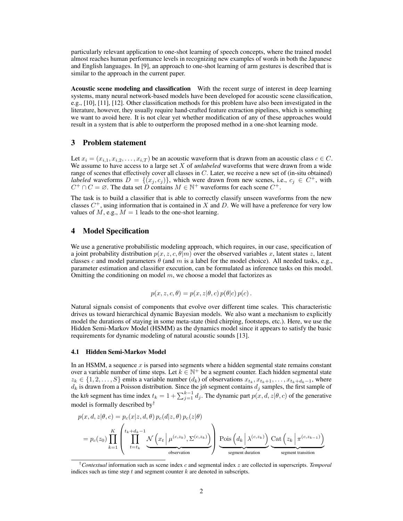particularly relevant application to one-shot learning of speech concepts, where the trained model almost reaches human performance levels in recognizing new examples of words in both the Japanese and English languages. In [\[9\]](#page-4-8), an approach to one-shot learning of arm gestures is described that is similar to the approach in the current paper.

Acoustic scene modeling and classification With the recent surge of interest in deep learning systems, many neural network-based models have been developed for acoustic scene classification, e.g., [\[10\]](#page-4-9), [\[11\]](#page-4-10), [\[12\]](#page-4-11). Other classification methods for this problem have also been investigated in the literature, however, they usually require hand-crafted feature extraction pipelines, which is something we want to avoid here. It is not clear yet whether modification of any of these approaches would result in a system that is able to outperform the proposed method in a one-shot learning mode.

# 3 Problem statement

Let  $x_i = (x_{i,1}, x_{i,2}, \ldots, x_{i,T})$  be an acoustic waveform that is drawn from an acoustic class  $c \in C$ . We assume to have access to a large set X of *unlabeled* waveforms that were drawn from a wide range of scenes that effectively cover all classes in  $C$ . Later, we receive a new set of (in-situ obtained) *labeled* waveforms  $D = \{(x_j, c_j)\}\$ , which were drawn from new scenes, i.e.,  $c_j \in C^+$ , with  $C^+ \cap C = \emptyset$ . The data set  $\overleftrightarrow{D}$  contains  $M \in \mathbb{N}^+$  waveforms for each scene  $C^+$ .

The task is to build a classifier that is able to correctly classify unseen waveforms from the new classes  $C^+$ , using information that is contained in X and D. We will have a preference for very low values of  $M$ , e.g.,  $M = 1$  leads to the one-shot learning.

## 4 Model Specification

We use a generative probabilistic modeling approach, which requires, in our case, specification of a joint probability distribution  $p(x, z, c, \theta|m)$  over the observed variables x, latent states z, latent classes c and model parameters  $\theta$  (and m is a label for the model choice). All needed tasks, e.g., parameter estimation and classifier execution, can be formulated as inference tasks on this model. Omitting the conditioning on model  $m$ , we choose a model that factorizes as

$$
p(x, z, c, \theta) = p(x, z | \theta, c) p(\theta | c) p(c).
$$

Natural signals consist of components that evolve over different time scales. This characteristic drives us toward hierarchical dynamic Bayesian models. We also want a mechanism to explicitly model the durations of staying in some meta-state (bird chirping, footsteps, etc.). Here, we use the Hidden Semi-Markov Model (HSMM) as the dynamics model since it appears to satisfy the basic requirements for dynamic modeling of natural acoustic sounds [\[13\]](#page-4-12).

#### 4.1 Hidden Semi-Markov Model

In an HSMM, a sequence  $x$  is parsed into segments where a hidden segmental state remains constant over a variable number of time steps. Let  $k \in \mathbb{N}^+$  be a segment counter. Each hidden segmental state  $z_k \in \{1, 2, \ldots, S\}$  emits a variable number  $(d_k)$  of observations  $x_{t_k}, x_{t_k+1}, \ldots, x_{t_k+d_k-1}$ , where  $d_k$  is drawn from a Poisson distribution. Since the jth segment contains  $d_j$  samples, the first sample of the kth segment has time index  $t_k = 1 + \sum_{j=1}^{k-1} d_j$ . The dynamic part  $p(x, d, z | \theta, c)$  of the generative model is formally described by[†](#page-1-0)

$$
p(x, d, z | \theta, c) = p_c(x | z, d, \theta) p_c(d | z, \theta) p_c(z | \theta)
$$
  
=  $p_c(z_0) \prod_{k=1}^K \left( \prod_{t=t_k}^{t_k+d_k-1} \underbrace{\mathcal{N} \left( x_t | \mu^{(c, z_k)}, \Sigma^{(c, z_k)} \right)}_{\text{observation}} \right) \underbrace{\text{Pois} \left( d_k | \lambda^{(c, z_k)} \right)}_{\text{segment duration}} \underbrace{\text{Cat} \left( z_k | \pi^{(c, z_{k-1})} \right)}_{\text{segment transition}}$ 

<span id="page-1-0"></span><sup>†</sup>*Contextual* information such as scene index c and segmental index z are collected in superscripts. *Temporal* indices such as time step  $t$  and segment counter  $k$  are denoted in subscripts.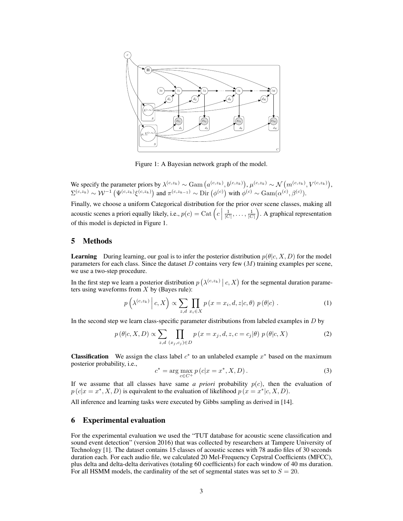

<span id="page-2-0"></span>Figure 1: A Bayesian network graph of the model.

We specify the parameter priors by  $\lambda^{(c,z_k)} \sim \text{Gam}\left(a^{(c,z_k)},b^{(c,z_k)}\right), \mu^{(c,z_k)} \sim \mathcal{N}\left(m^{(c,z_k)},V^{(c,z_k)}\right),$  $\Sigma^{(c,z_k)} \sim \mathcal{W}^{-1}\left(\Psi^{(c,z_k)}\xi^{(c,z_k)}\right)$  and  $\pi^{(c,z_{k-1})} \sim \text{Dir}\left(\phi^{(c)}\right)$  with  $\phi^{(c)} \sim \text{Gam}(\alpha^{(c)}, \beta^{(c)})$ .

Finally, we choose a uniform Categorical distribution for the prior over scene classes, making all acoustic scenes a priori equally likely, i.e.,  $p(c) = \text{Cat}\left(c \mid c\right)$  $\frac{1}{|C|}, \ldots, \frac{1}{|C|}$ . A graphical representation of this model is depicted in Figure [1.](#page-2-0)

## 5 Methods

**Learning** During learning, our goal is to infer the posterior distribution  $p(\theta|c, X, D)$  for the model parameters for each class. Since the dataset  $D$  contains very few  $(M)$  training examples per scene, we use a two-step procedure.

In the first step we learn a posterior distribution  $p\left(\lambda^{(c,z_k)}\middle|c, X\right)$  for the segmental duration parameters using waveforms from  $X$  by (Bayes rule):

<span id="page-2-1"></span>
$$
p\left(\lambda^{(c,z_k)}\,\middle|\,c,X\right) \propto \sum_{z,d}\prod_{x_i\in X}p\left(x=x_i,d,z|c,\theta\right)p\left(\theta|c\right). \tag{1}
$$

In the second step we learn class-specific parameter distributions from labeled examples in  $D$  by

<span id="page-2-2"></span>
$$
p(\theta|c, X, D) \propto \sum_{z,d} \prod_{(x_j,c_j) \in D} p(x = x_j, d, z, c = c_j|\theta) p(\theta|c, X)
$$
 (2)

**Classification** We assign the class label  $c^*$  to an unlabeled example  $x^*$  based on the maximum posterior probability, i.e.,

<span id="page-2-3"></span>
$$
c^* = \arg\max_{c \in C^+} p(c|x = x^*, X, D).
$$
 (3)

If we assume that all classes have same *a priori* probability  $p(c)$ , then the evaluation of  $p(c|x = x^*, X, D)$  is equivalent to the evaluation of likelihood  $p(x = x^*|c, X, D)$ .

All inference and learning tasks were executed by Gibbs sampling as derived in [\[14\]](#page-4-13).

# 6 Experimental evaluation

For the experimental evaluation we used the "TUT database for acoustic scene classification and sound event detection" (version 2016) that was collected by researchers at Tampere University of Technology [\[1\]](#page-4-0). The dataset contains 15 classes of acoustic scenes with 78 audio files of 30 seconds duration each. For each audio file, we calculated 20 Mel-Frequency Cepstral Coefficients (MFCC), plus delta and delta-delta derivatives (totaling 60 coefficients) for each window of 40 ms duration. For all HSMM models, the cardinality of the set of segmental states was set to  $S = 20$ .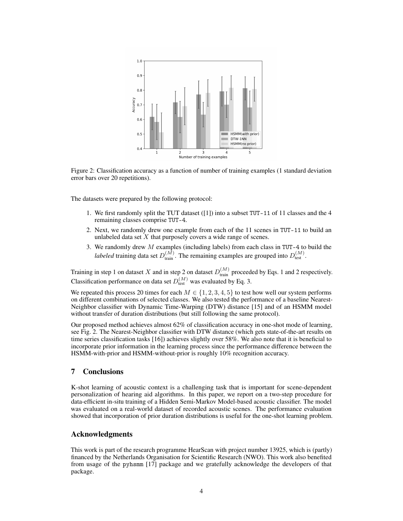

<span id="page-3-0"></span>Figure 2: Classification accuracy as a function of number of training examples (1 standard deviation error bars over 20 repetitions).

The datasets were prepared by the following protocol:

- 1. We first randomly split the TUT dataset ([\[1\]](#page-4-0)) into a subset TUT-11 of 11 classes and the 4 remaining classes comprise TUT-4.
- 2. Next, we randomly drew one example from each of the 11 scenes in TUT-11 to build an unlabeled data set  $X$  that purposely covers a wide range of scenes.
- 3. We randomly drew  $M$  examples (including labels) from each class in TUT-4 to build the *labeled* training data set  $D_{\text{train}}^{(M)}$ . The remaining examples are grouped into  $D_{\text{test}}^{(M)}$ .

Training in step [1](#page-2-1) on dataset X and in step [2](#page-2-2) on dataset  $D_{\text{train}}^{(M)}$  proceeded by Eqs. 1 and 2 respectively. Classification performance on data set  $D_{\text{test}}^{(M)}$  was evaluated by Eq. [3.](#page-2-3)

We repeated this process 20 times for each  $M \in \{1, 2, 3, 4, 5\}$  to test how well our system performs on different combinations of selected classes. We also tested the performance of a baseline Nearest-Neighbor classifier with Dynamic Time-Warping (DTW) distance [\[15\]](#page-4-14) and of an HSMM model without transfer of duration distributions (but still following the same protocol).

Our proposed method achieves almost  $62\%$  of classification accuracy in one-shot mode of learning, see Fig. [2.](#page-3-0) The Nearest-Neighbor classifier with DTW distance (which gets state-of-the-art results on time series classification tasks [\[16\]](#page-4-15)) achieves slightly over 58%. We also note that it is beneficial to incorporate prior information in the learning process since the performance difference between the HSMM-with-prior and HSMM-without-prior is roughly 10% recognition accuracy.

## 7 Conclusions

K-shot learning of acoustic context is a challenging task that is important for scene-dependent personalization of hearing aid algorithms. In this paper, we report on a two-step procedure for data-efficient in-situ training of a Hidden Semi-Markov Model-based acoustic classifier. The model was evaluated on a real-world dataset of recorded acoustic scenes. The performance evaluation showed that incorporation of prior duration distributions is useful for the one-shot learning problem.

## Acknowledgments

This work is part of the research programme HearScan with project number 13925, which is (partly) financed by the Netherlands Organisation for Scientific Research (NWO). This work also benefited from usage of the pyhsmm [\[17\]](#page-4-16) package and we gratefully acknowledge the developers of that package.